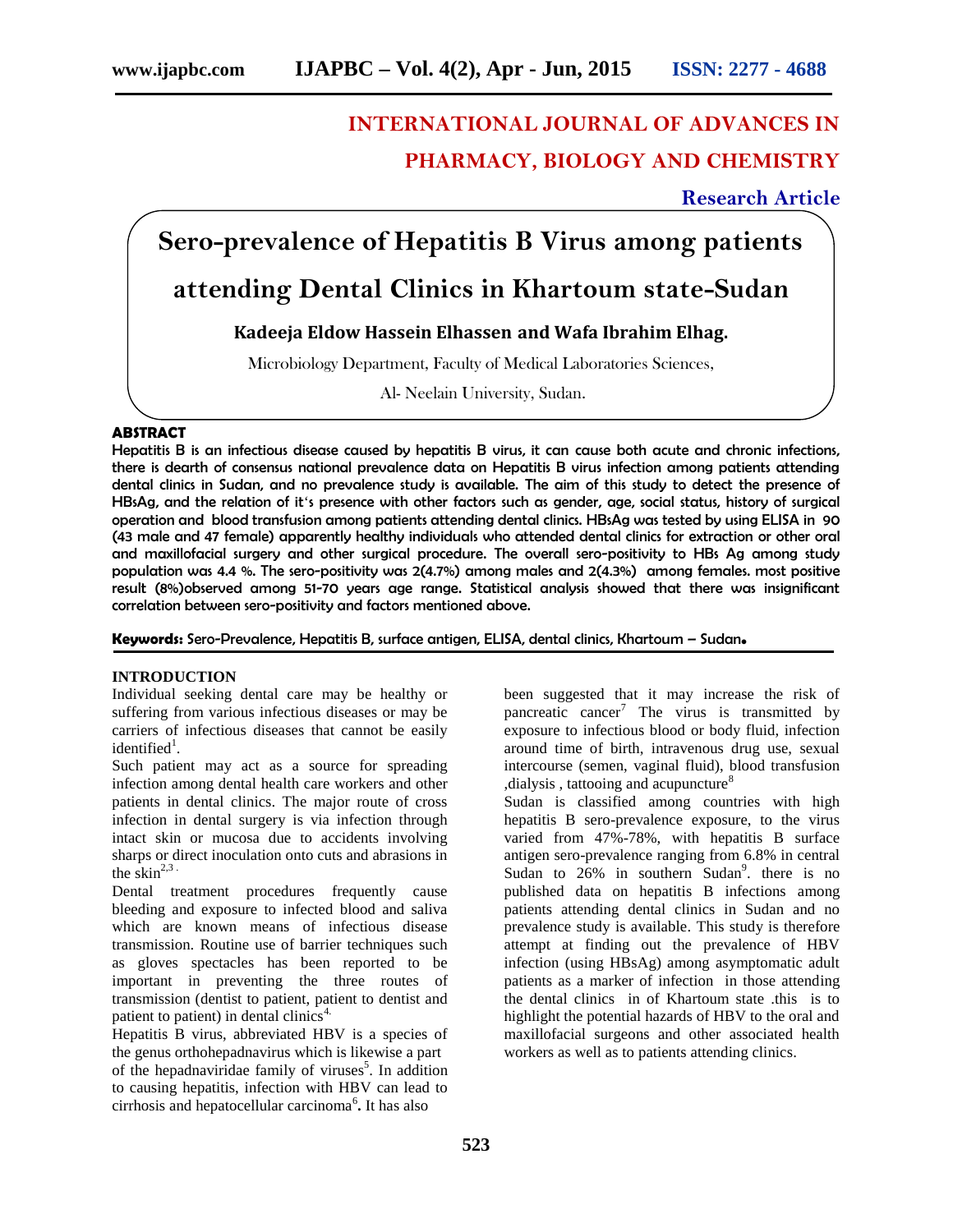# **INTERNATIONAL JOURNAL OF ADVANCES IN PHARMACY, BIOLOGY AND CHEMISTRY**

**Research Article**

## **Sero-prevalence of Hepatitis B Virus among patients**

### **attending Dental Clinics in Khartoum state-Sudan**

### **Kadeeja Eldow Hassein Elhassen and Wafa Ibrahim Elhag.**

Microbiology Department, Faculty of Medical Laboratories Sciences,

Al- Neelain University, Sudan.

#### **ABSTRACT**

Hepatitis B is an infectious disease caused by hepatitis B virus, it can cause both acute and chronic infections, there is dearth of consensus national prevalence data on Hepatitis B virus infection among patients attending dental clinics in Sudan, and no prevalence study is available. The aim of this study to detect the presence of HBsAg, and the relation of it's presence with other factors such as gender, age, social status, history of surgical operation and blood transfusion among patients attending dental clinics. HBsAg was tested by using ELISA in 90 (43 male and 47 female) apparently healthy individuals who attended dental clinics for extraction or other oral and maxillofacial surgery and other surgical procedure. The overall sero-positivity to HBs Ag among study population was 4.4 %. The sero-positivity was 2(4.7%) among males and 2(4.3%) among females. most positive result (8%)observed among 51-70 years age range. Statistical analysis showed that there was insignificant correlation between sero-positivity and factors mentioned above.

**Keywords:** Sero-Prevalence, Hepatitis B, surface antigen, ELISA, dental clinics, Khartoum – Sudan**.**

#### **INTRODUCTION**

Individual seeking dental care may be healthy or suffering from various infectious diseases or may be carriers of infectious diseases that cannot be easily identified<sup>1</sup>.

Such patient may act as a source for spreading infection among dental health care workers and other patients in dental clinics. The major route of cross infection in dental surgery is via infection through intact skin or mucosa due to accidents involving sharps or direct inoculation onto cuts and abrasions in the skin $^{2,3}$ .

Dental treatment procedures frequently cause bleeding and exposure to infected blood and saliva which are known means of infectious disease transmission. Routine use of barrier techniques such as gloves spectacles has been reported to be important in preventing the three routes of transmission (dentist to patient, patient to dentist and patient to patient) in dental clinics<sup>4.</sup>

Hepatitis B virus, abbreviated HBV is a species of the genus orthohepadnavirus which is likewise a part of the hepadnaviridae family of viruses<sup>5</sup>. In addition to causing hepatitis, infection with HBV can lead to cirrhosis and hepatocellular carcinoma<sup>6</sup>. It has also

been suggested that it may increase the risk of pancreatic cancer<sup>7</sup> The virus is transmitted by exposure to infectious blood or body fluid, infection around time of birth, intravenous drug use, sexual intercourse (semen, vaginal fluid), blood transfusion  $,$ dialysis, tattooing and acupuncture<sup>8</sup>

Sudan is classified among countries with high hepatitis B sero-prevalence exposure, to the virus varied from 47%-78%, with hepatitis B surface antigen sero-prevalence ranging from 6.8% in central Sudan to  $26\%$  in southern Sudan<sup>9</sup> there is no published data on hepatitis B infections among patients attending dental clinics in Sudan and no prevalence study is available. This study is therefore attempt at finding out the prevalence of HBV infection (using HBsAg) among asymptomatic adult patients as a marker of infection in those attending the dental clinics in of Khartoum state .this is to highlight the potential hazards of HBV to the oral and maxillofacial surgeons and other associated health workers as well as to patients attending clinics.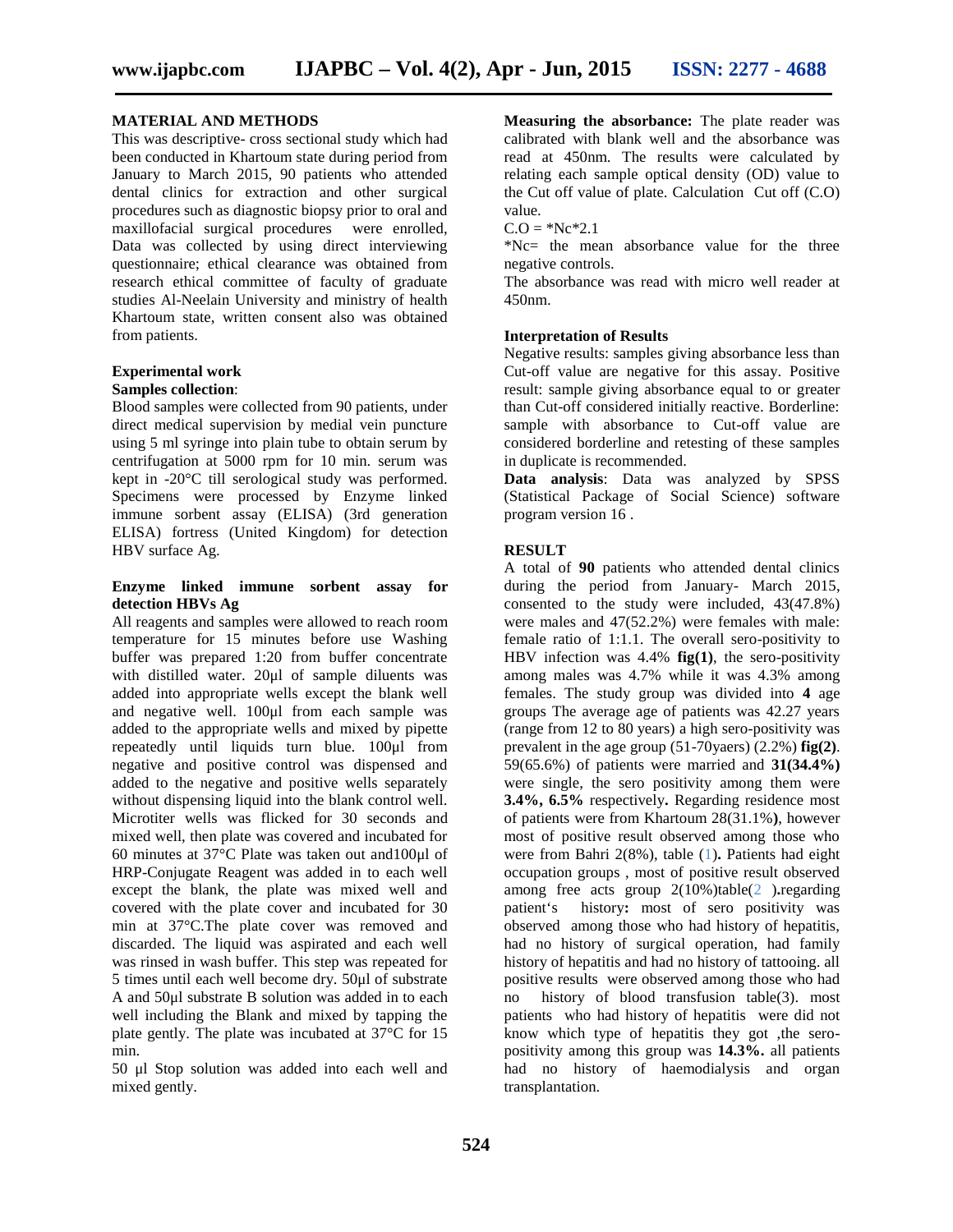#### **MATERIAL AND METHODS**

This was descriptive- cross sectional study which had been conducted in Khartoum state during period from January to March 2015, 90 patients who attended dental clinics for extraction and other surgical procedures such as diagnostic biopsy prior to oral and maxillofacial surgical procedures were enrolled, Data was collected by using direct interviewing questionnaire; ethical clearance was obtained from research ethical committee of faculty of graduate studies Al-Neelain University and ministry of health Khartoum state, written consent also was obtained from patients.

#### **Experimental work Samples collection**:

Blood samples were collected from 90 patients, under direct medical supervision by medial vein puncture using 5 ml syringe into plain tube to obtain serum by centrifugation at 5000 rpm for 10 min. serum was kept in -20°C till serological study was performed. Specimens were processed by Enzyme linked immune sorbent assay (ELISA) (3rd generation ELISA) fortress (United Kingdom) for detection HBV surface Ag.

#### **Enzyme linked immune sorbent assay for detection HBVs Ag**

All reagents and samples were allowed to reach room temperature for 15 minutes before use Washing buffer was prepared 1:20 from buffer concentrate with distilled water. 20μl of sample diluents was added into appropriate wells except the blank well and negative well. 100μl from each sample was added to the appropriate wells and mixed by pipette repeatedly until liquids turn blue. 100μl from negative and positive control was dispensed and added to the negative and positive wells separately without dispensing liquid into the blank control well. Microtiter wells was flicked for 30 seconds and mixed well, then plate was covered and incubated for 60 minutes at 37°C Plate was taken out and100μl of HRP-Conjugate Reagent was added in to each well except the blank, the plate was mixed well and covered with the plate cover and incubated for 30 patient's min at 37°C.The plate cover was removed and discarded. The liquid was aspirated and each well was rinsed in wash buffer. This step was repeated for 5 times until each well become dry. 50μl of substrate A and 50 $\mu$ l substrate B solution was added in to each no well including the Blank and mixed by tapping the plate gently. The plate was incubated at 37°C for 15 min.

50 μl Stop solution was added into each well and mixed gently.

**Measuring the absorbance:** The plate reader was calibrated with blank well and the absorbance was read at 450nm. The results were calculated by relating each sample optical density (OD) value to the Cut off value of plate. Calculation Cut off (C.O) value.

 $C.O = *Nc * 2.1$ 

\*Nc= the mean absorbance value for the three negative controls.

The absorbance was read with micro well reader at 450nm.

#### **Interpretation of Results**

Negative results: samples giving absorbance less than Cut-off value are negative for this assay. Positive result: sample giving absorbance equal to or greater than Cut-off considered initially reactive. Borderline: sample with absorbance to Cut-off value are considered borderline and retesting of these samples in duplicate is recommended.

**Data analysis**: Data was analyzed by SPSS (Statistical Package of Social Science) software program version 16 .

#### **RESULT**

A total of **90** patients who attended dental clinics during the period from January- March 2015, consented to the study were included, 43(47.8%) were males and 47(52.2%) were females with male: female ratio of 1:1.1. The overall sero-positivity to HBV infection was 4.4% **fig(1)**, the sero-positivity among males was 4.7% while it was 4.3% among females. The study group was divided into **4** age groups The average age of patients was 42.27 years (range from 12 to 80 years) a high sero-positivity was prevalent in the age group (51-70yaers) (2.2%) **fig(2)**. 59(65.6%) of patients were married and **31(34.4%)** were single, the sero positivity among them were **3.4%, 6.5%** respectively**.**Regarding residence most of patients were from Khartoum 28(31.1%**)**, however most of positive result observed among those who were from Bahri 2(8%), table (1)**.** Patients had eight occupation groups , most of positive result observed among free acts group 2(10%)table(2 )**.**regarding history: most of sero positivity was observed among those who had history of hepatitis, had no history of surgical operation, had family history of hepatitis and had no history of tattooing. all positive results were observed among those who had history of blood transfusion table(3). most patients who had history of hepatitis were did not know which type of hepatitis they got , the seropositivity among this group was **14.3%.** all patients had no history of haemodialysis and organ transplantation.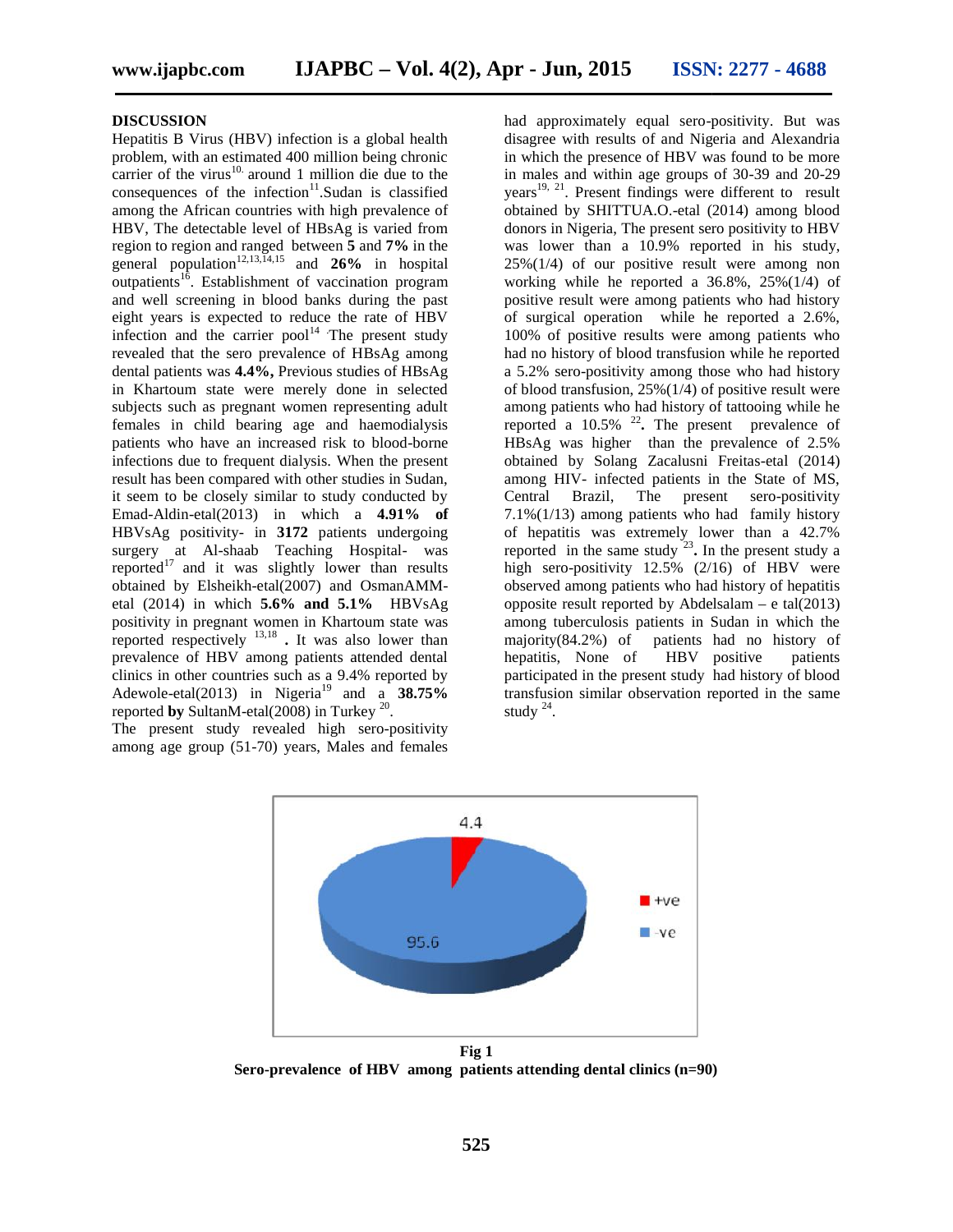#### **DISCUSSION**

Hepatitis B Virus (HBV) infection is a global health problem, with an estimated 400 million being chronic carrier of the virus $10$ . around 1 million die due to the consequences of the infection $11$ . Sudan is classified among the African countries with high prevalence of HBV, The detectable level of HBsAg is varied from region to region and ranged between **5** and **7%** in the general population<sup>12,13, $\bar{I}^{4,15}$  and **26%** in hospital</sup> outpatients<sup>16</sup>. Establishment of vaccination program work and well screening in blood banks during the past and well screening in blood banks during the past posi-<br>
beight years is expected to reduce the rate of HBV of s infection and the carrier  $pool<sup>14</sup>$  The present study revealed that the sero prevalence of HBsAg among dental patients was **4.4%,** Previous studies of HBsAg in Khartoum state were merely done in selected subjects such as pregnant women representing adult females in child bearing age and haemodialysis patients who have an increased risk to blood-borne infections due to frequent dialysis. When the present result has been compared with other studies in Sudan, it seem to be closely similar to study conducted by Emad-Aldin-etal(2013) in which a **4.91% of** HBVsAg positivity- in **3172** patients undergoing surgery at Al-shaab Teaching Hospital- was reported $17$  and it was slightly lower than results obtained by Elsheikh-etal(2007) and OsmanAMM etal (2014) in which **5.6% and 5.1%** HBVsAg positivity in pregnant women in Khartoum state was positivity in pregnant women in Khartoum state was reported respectively  $13,18$ . It was also lower than prevalence of HBV among patients attended dental clinics in other countries such as a 9.4% reported by Adewole-etal(2013) in Nigeria<sup>19</sup> and a  $38.75\%$ reported **by** SultanM-etal(2008) in Turkey  $^{20}$ . . Hepatitis B Virus (HBV) infection is a global health problem, with an estimated 400 million being chronic carrier of the virus<sup>10</sup> around 1 million die due to the consequences of the infection<sup>11</sup>. Sudan is classified amo fection and the carrier pool<sup>14</sup> The present study vealed that the sero prevalence of HBsAg among ntal patients was  $4.4\%$ , Previous studies of HBsAg Khartoum state were merely done in selected bjects such as pregnant wo at Al-shaab Teaching Hospital- was<br><sup>17</sup> and it was slightly lower than results<br>1 by Elsheikh-etal(2007) and OsmanAMM-<br>14) in which **5.6% and 5.1%** HBVsAg carrier pool<sup>14</sup> The<br>ero prevalence of H<br>4.4%, Previous stude were merely doregnant women rept<br>bearing age and<br>an increased risk t<br>equent dialysis. Wh<br>pared with other study<br>similar to study<br>113) in which is<br> $y$ - in 3172 p

The present study revealed high sero-positivity among age group (51-70) years, Males and females

had approximately equal sero-positivity. But was disagree with results of and Nigeria and Alexandria in which the presence of HBV was found to be more in males and within age groups of 30-39 and 20-29 years<sup>19, 21</sup>. Present findings were different to result obtained by SHITTUA.O.-etal (2014) among blood donors in Nigeria, The present sero positivity to HBV was lower than a 10.9% reported in his study, 25%(1/4) of our positive result were among non working while he reported a 36.8%, 25%(1/4) of positive result were among patients who had history of surgical operation while he reported a 2.6%, 100% of positive results were among patients who had no history of blood transfusion while he reported a 5.2% sero-positivity among those who had history of blood transfusion, 25%(1/4) of positive result were among patients who had history of tattooing while he reported a 10.5% <sup>22</sup> **.** The present prevalence of HBsAg was higher than the prevalence of 2.5% obtained by Solang Zacalusni Freitas-etal (2014) among HIV- infected patients in the State of MS, Brazil, The present sero-positivity 7.1%(1/13) among patients who had family history of hepatitis was extremely lower than a 42.7% reported in the same study  $2^3$ . In the present study a high sero-positivity 12.5% (2/16) of HBV were observed among patients who had history of hepatitis opposite result reported by Abdelsalam – e tal(2013) among tuberculosis patients in Sudan in which the majority(84.2%) of patients had no history of hepatitis, None of HBV positive patients participated in the present study had history of blood transfusion similar observation reported in the same study  $24$ . . DBSCUSSION<br>IMENOV infection is a global health had approximately cual scrop-positivity. But was<br>dependent with a significate with results of and Nigeria and Alexandra<br>carrier of the vines.<sup>38</sup> moreal in which the presence



**Sero-prevalence of HBV among patients attending dental clinics (n=90)**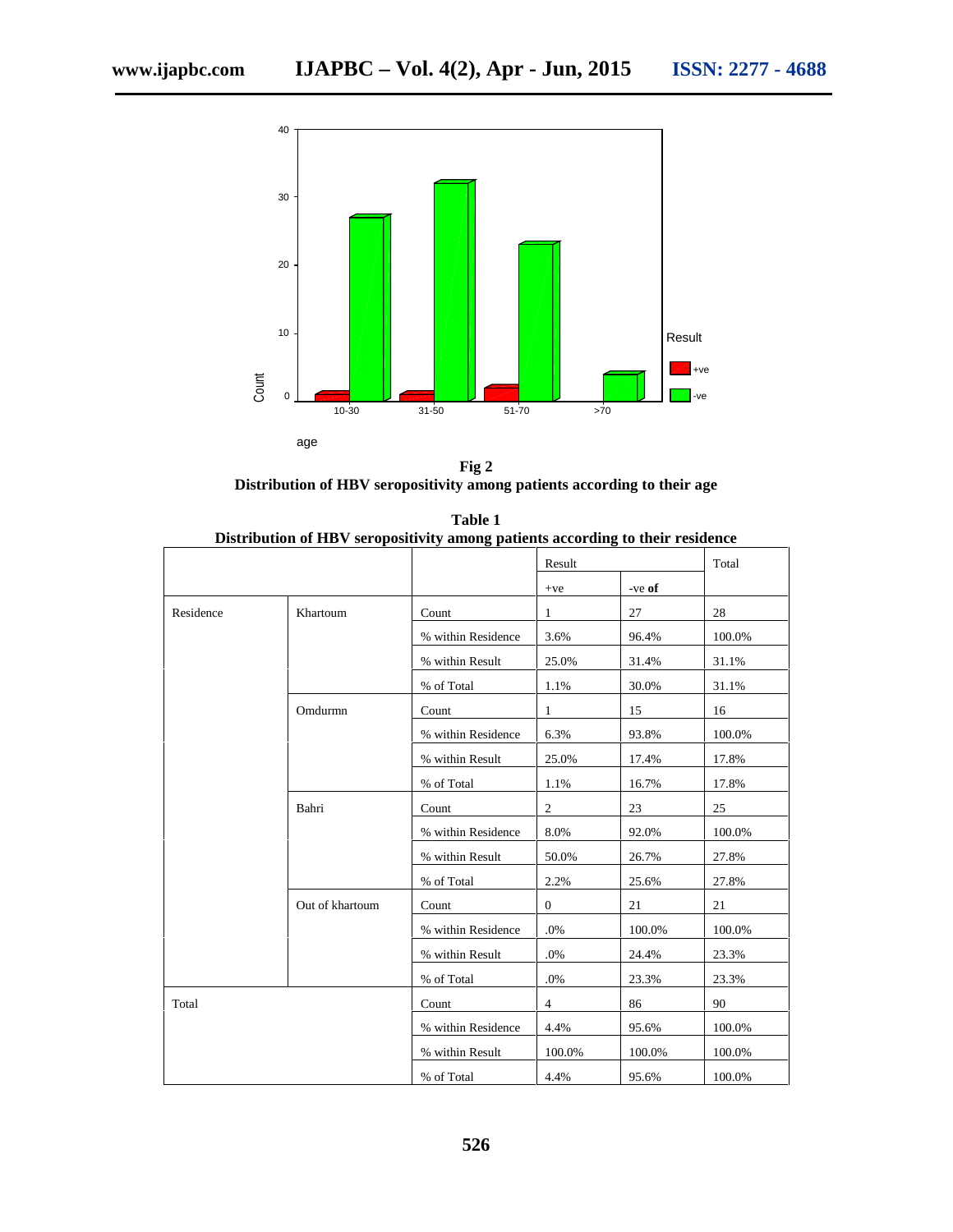

**Fig 2 Distribution of HBV seropositivity among patients according to their age**

**Table 1 Distribution of HBV seropositivity among patients according to their residence**

|           |                 |                    | Result         |        | Total  |
|-----------|-----------------|--------------------|----------------|--------|--------|
|           |                 |                    | $+ve$          | -ve of |        |
| Residence | Khartoum        | Count              | 1              | 27     | 28     |
|           |                 | % within Residence | 3.6%           | 96.4%  | 100.0% |
|           |                 | % within Result    | 25.0%          | 31.4%  | 31.1%  |
|           |                 | % of Total         | 1.1%           | 30.0%  | 31.1%  |
|           | Omdurmn         | Count              | 1              | 15     | 16     |
|           |                 | % within Residence | 6.3%           | 93.8%  | 100.0% |
|           |                 | % within Result    | 25.0%          | 17.4%  | 17.8%  |
|           |                 | % of Total         | 1.1%           | 16.7%  | 17.8%  |
|           | Bahri           | Count              | 2              | 23     | 25     |
|           |                 | % within Residence | 8.0%           | 92.0%  | 100.0% |
|           |                 | % within Result    | 50.0%          | 26.7%  | 27.8%  |
|           |                 | % of Total         | 2.2%           | 25.6%  | 27.8%  |
|           | Out of khartoum | Count              | $\mathbf{0}$   | 21     | 21     |
|           |                 | % within Residence | .0%            | 100.0% | 100.0% |
|           |                 | % within Result    | .0%            | 24.4%  | 23.3%  |
|           |                 | % of Total         | .0%            | 23.3%  | 23.3%  |
| Total     |                 | Count              | $\overline{4}$ | 86     | 90     |
|           |                 | % within Residence | 4.4%           | 95.6%  | 100.0% |
|           |                 | % within Result    | 100.0%         | 100.0% | 100.0% |
|           |                 | % of Total         | 4.4%           | 95.6%  | 100.0% |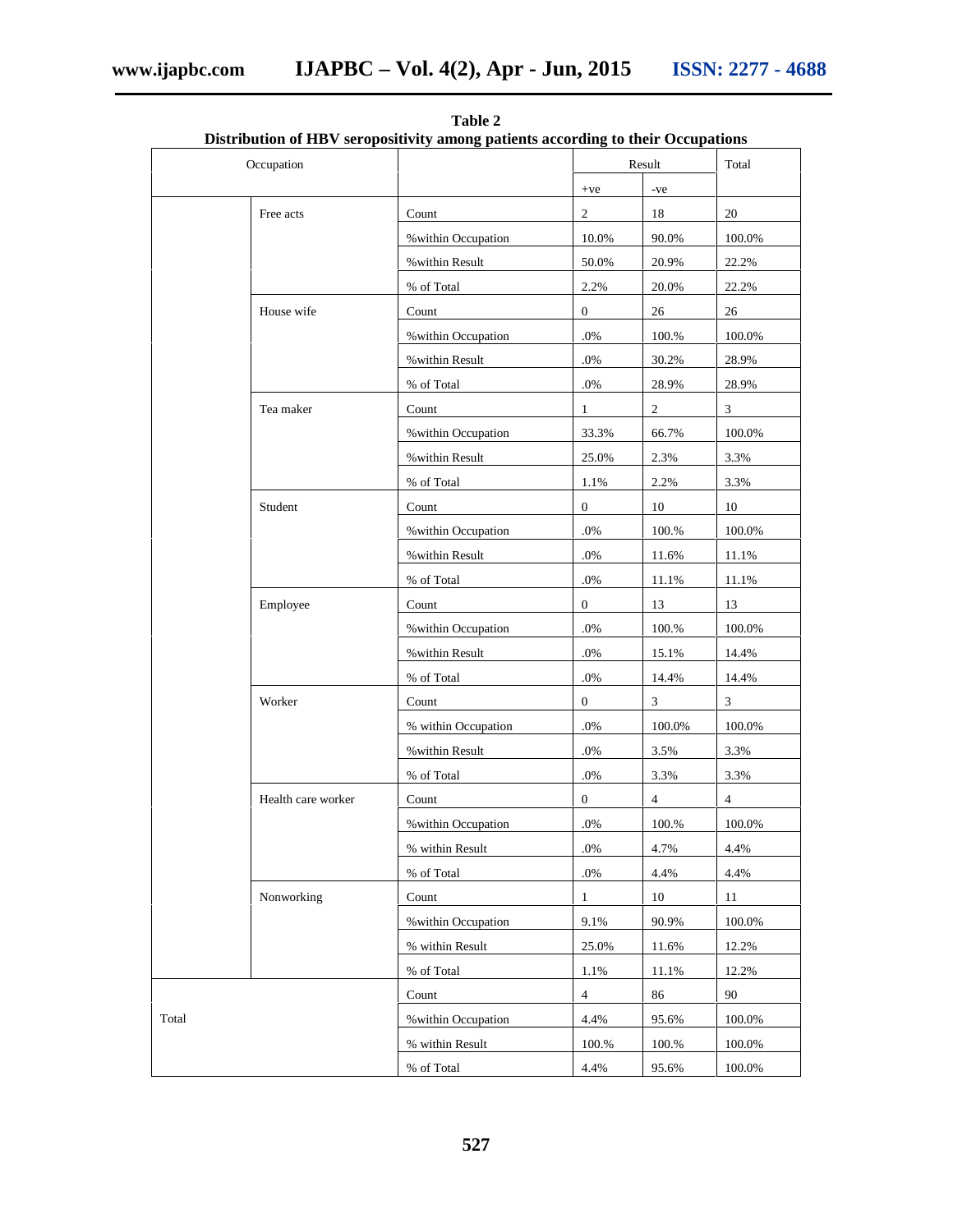| Occupation         |                     |                | Result         |                |
|--------------------|---------------------|----------------|----------------|----------------|
|                    |                     | $+ve$          | -ve            |                |
| Free acts          | Count               | $\overline{2}$ | 18             | 20             |
|                    | % within Occupation | 10.0%          | 90.0%          | 100.0%         |
|                    | % within Result     | 50.0%          | 20.9%          | 22.2%          |
|                    | % of Total          | 2.2%           | 20.0%          | 22.2%          |
| House wife         | Count               | $\overline{0}$ | 26             | 26             |
|                    | % within Occupation | $.0\%$         | 100.%          | 100.0%         |
|                    | % within Result     | $.0\%$         | 30.2%          | 28.9%          |
|                    | $\%$ of Total       | $.0\%$         | 28.9%          | 28.9%          |
| Tea maker          | Count               | $\mathbf{1}$   | $\overline{2}$ | 3              |
|                    | % within Occupation | 33.3%          | 66.7%          | 100.0%         |
|                    | % within Result     | 25.0%          | 2.3%           | 3.3%           |
|                    | % of Total          | 1.1%           | 2.2%           | 3.3%           |
| Student            | Count               | $\overline{0}$ | 10             | 10             |
|                    | % within Occupation | $.0\%$         | $100.\%$       | 100.0%         |
|                    | % within Result     | $.0\%$         | 11.6%          | 11.1%          |
|                    | % of Total          | $.0\%$         | 11.1%          | 11.1%          |
| Employee           | Count               | $\overline{0}$ | 13             | 13             |
|                    | % within Occupation | $.0\%$         | $100.\%$       | $100.0\%$      |
|                    | % within Result     | $.0\%$         | 15.1%          | 14.4%          |
|                    | % of Total          | $.0\%$         | 14.4%          | 14.4%          |
| Worker             | Count               | $\overline{0}$ | 3 <sup>7</sup> | $\mathfrak{Z}$ |
|                    | % within Occupation | $.0\%$         | 100.0%         | 100.0%         |
|                    | % within Result     | $.0\%$         | 3.5%           | 3.3%           |
|                    | % of Total          | $.0\%$         | 3.3%           | 3.3%           |
| Health care worker | Count               | $\overline{0}$ | $\overline{4}$ | $\overline{4}$ |
|                    | % within Occupation | $.0\%$         | 100.%          | 100.0%         |
|                    | % within Result     | $.0\%$         | 4.7%           | 4.4%           |
|                    | % of Total          | $.0\%$         | 4.4%           | 4.4%           |
| Nonworking         | Count               | $\mathbf{1}$   | 10             | 11             |
|                    | % within Occupation | 9.1%           | 90.9%          | 100.0%         |
|                    | % within Result     | 25.0%          | 11.6%          | 12.2%          |
|                    | % of Total          | $1.1\%$        | 11.1%          | 12.2%          |
|                    | Count               | $\overline{4}$ | 86             | 90             |
| Total              | % within Occupation | 4.4%           | 95.6%          | 100.0%         |
|                    | % within Result     | 100.%          | 100.%          | 100.0%         |
|                    | % of Total          | 4.4%           | 95.6%          | 100.0%         |

**Table 2 Distribution of HBV seropositivity among patients according to their Occupations**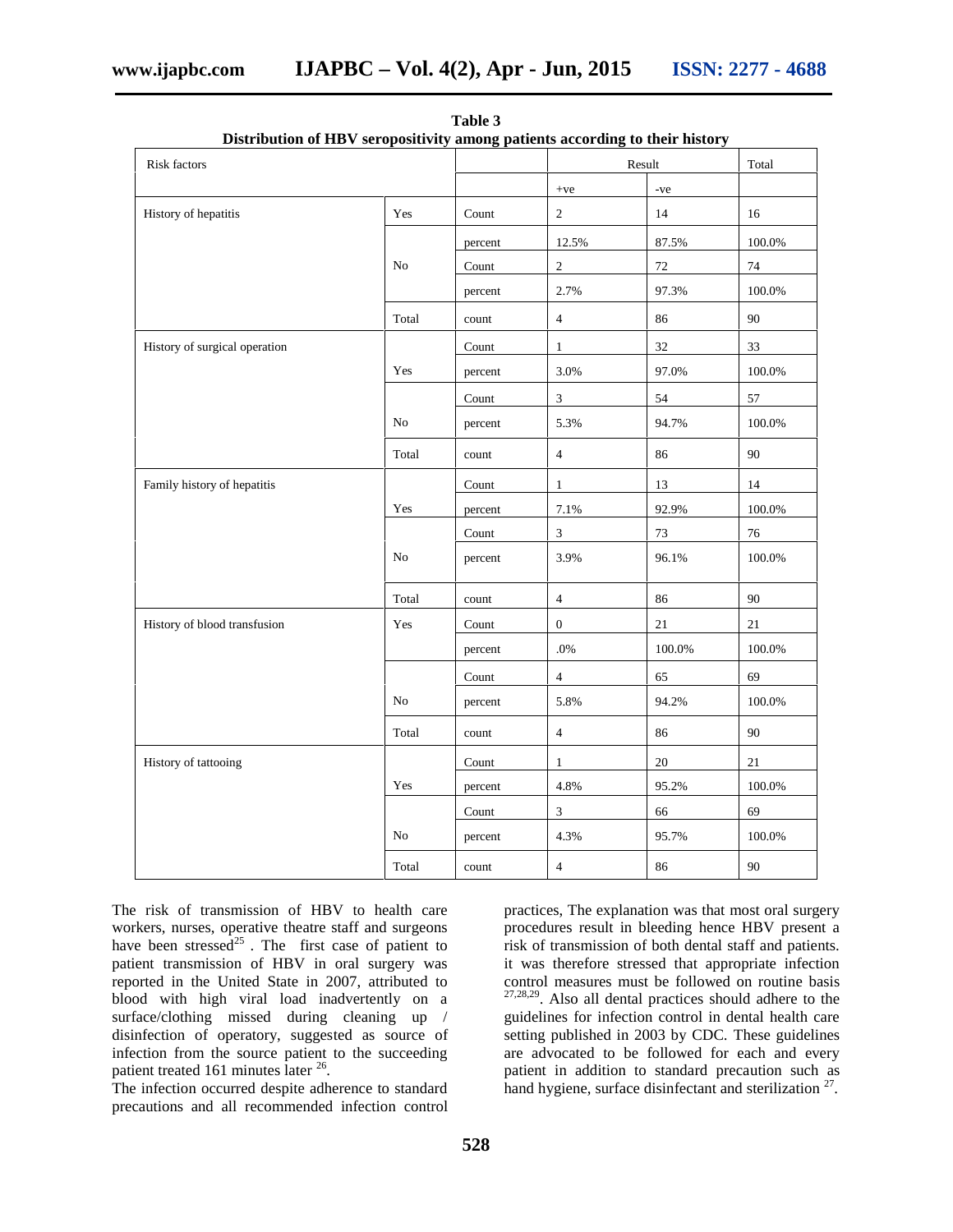| <b>Risk factors</b>           |          |                        |                  | Result       |           |
|-------------------------------|----------|------------------------|------------------|--------------|-----------|
|                               |          |                        | $+{\rm ve}$      | $\mbox{-ve}$ |           |
| History of hepatitis          | Yes      | Count                  | $\overline{2}$   | 14           | 16        |
|                               |          | percent                | 12.5%            | 87.5%        | $100.0\%$ |
|                               | $\rm No$ | Count                  | $\overline{2}$   | 72           | 74        |
|                               |          | percent                | 2.7%             | 97.3%        | 100.0%    |
|                               | Total    | count                  | $\overline{4}$   | 86           | $90\,$    |
| History of surgical operation |          | Count                  | $\mathbf{1}$     | 32           | 33        |
|                               | Yes      | percent                | 3.0%             | 97.0%        | $100.0\%$ |
|                               |          | Count                  | $\overline{3}$   | 54           | 57        |
|                               | No       | percent                | 5.3%             | 94.7%        | 100.0%    |
|                               | Total    | count                  | $\overline{4}$   | 86           | 90        |
| Family history of hepatitis   |          | Count                  | $\mathbf{1}$     | 13           | 14        |
|                               | Yes      | percent                | $7.1\%$          | 92.9%        | 100.0%    |
|                               |          | Count                  | $\mathfrak{Z}$   | 73           | $76\,$    |
|                               | No       | percent                | 3.9%             | 96.1%        | 100.0%    |
|                               | Total    | count                  | $\overline{4}$   | 86           | $90\,$    |
| History of blood transfusion  | Yes      | $\operatorname{Count}$ | $\boldsymbol{0}$ | $21\,$       | 21        |
|                               |          | percent                | $.0\%$           | $100.0\%$    | $100.0\%$ |
|                               |          | Count                  | $\overline{4}$   | 65           | 69        |
|                               | No       | percent                | 5.8%             | 94.2%        | 100.0%    |
|                               | Total    | count                  | $\overline{4}$   | 86           | 90        |
| History of tattooing          |          | Count                  | $\mathbf{1}$     | $20\,$       | 21        |
|                               | Yes      | percent                | 4.8%             | 95.2%        | $100.0\%$ |
|                               |          | $\operatorname{Count}$ | $\mathbf{3}$     | 66           | 69        |
|                               | $\rm No$ | percent                | 4.3%             | 95.7%        | 100.0%    |
|                               | Total    | count                  | $\overline{4}$   | 86           | 90        |

**Table 3 Distribution of HBV seropositivity among patients according to their history**

The risk of transmission of HBV to health care workers, nurses, operative theatre staff and surgeons have been stressed $^{25}$ . The first case of patient to patient transmission of HBV in oral surgery was reported in the United State in 2007, attributed to blood with high viral load inadvertently on a surface/clothing missed during cleaning up / disinfection of operatory, suggested as source of infection from the source patient to the succeeding patient treated 161 minutes later <sup>26</sup>.

The infection occurred despite adherence to standard precautions and all recommended infection control

practices, The explanation was that most oral surgery procedures result in bleeding hence HBV present a risk of transmission of both dental staff and patients. it was therefore stressed that appropriate infection control measures must be followed on routine basis 27,28,29. Also all dental practices should adhere to the guidelines for infection control in dental health care setting published in 2003 by CDC. These guidelines are advocated to be followed for each and every patient in addition to standard precaution such as hand hygiene, surface disinfectant and sterilization <sup>27</sup>.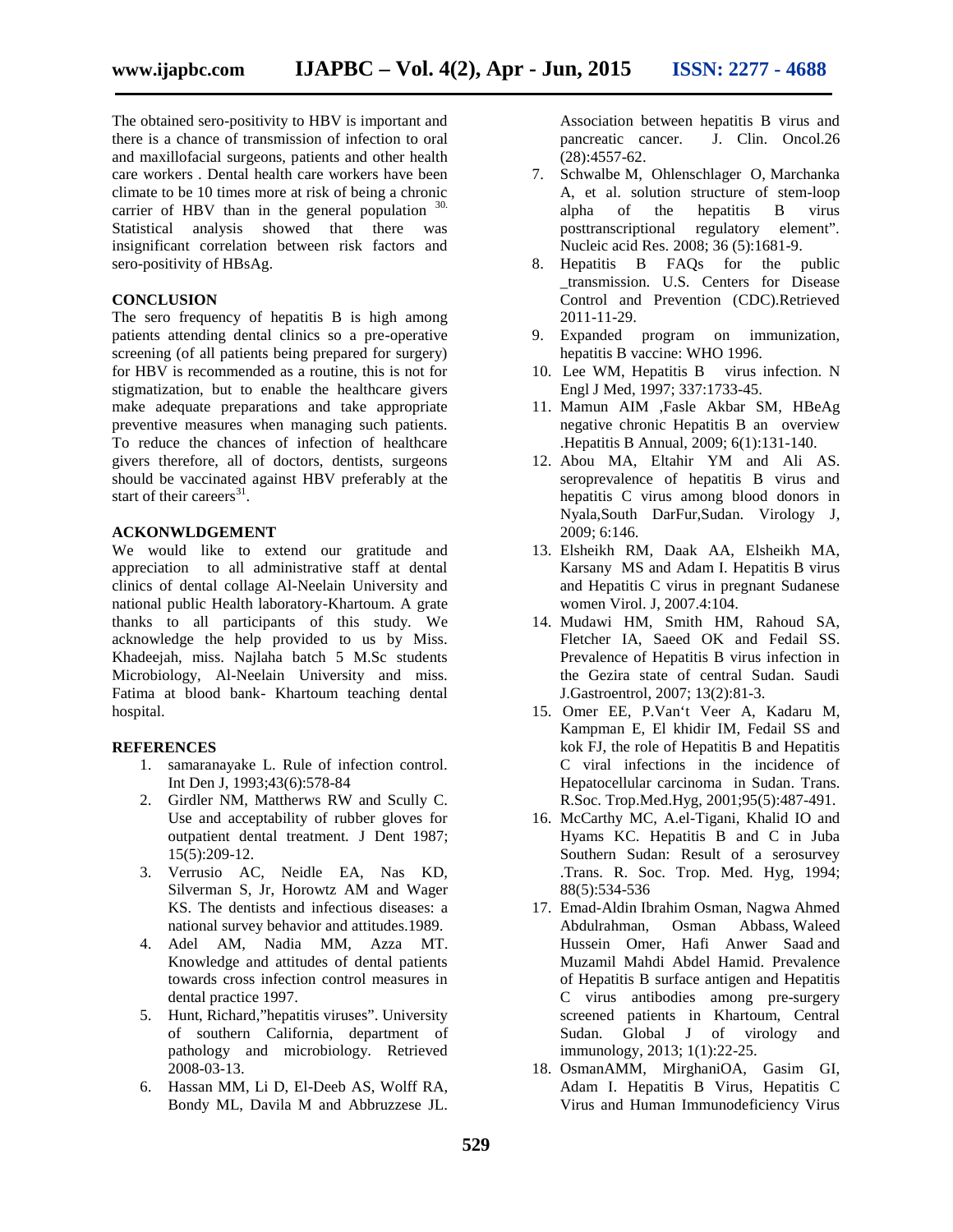The obtained sero-positivity to HBV is important and there is a chance of transmission of infection to oral and maxillofacial surgeons, patients and other health care workers . Dental health care workers have been climate to be 10 times more at risk of being a chronic carrier of HBV than in the general population  $30$ . Statistical analysis showed that there was insignificant correlation between risk factors and sero-positivity of HBsAg.

#### **CONCLUSION**

The sero frequency of hepatitis B is high among patients attending dental clinics so a pre-operative screening (of all patients being prepared for surgery) for HBV is recommended as a routine, this is not for stigmatization, but to enable the healthcare givers make adequate preparations and take appropriate preventive measures when managing such patients. To reduce the chances of infection of healthcare givers therefore, all of doctors, dentists, surgeons should be vaccinated against HBV preferably at the start of their careers $^{31}$ .

#### **ACKONWLDGEMENT**

We would like to extend our gratitude and appreciation to all administrative staff at dental clinics of dental collage Al-Neelain University and national public Health laboratory-Khartoum. A grate thanks to all participants of this study. We acknowledge the help provided to us by Miss. Khadeejah, miss. Najlaha batch 5 M.Sc students Microbiology, Al-Neelain University and miss. Fatima at blood bank- Khartoum teaching dental hospital.

#### **REFERENCES**

- 1. samaranayake L. Rule of infection control. Int Den J, 1993;43(6):578-84
- 2. Girdler NM, Mattherws RW and Scully C. Use and acceptability of rubber gloves for outpatient dental treatment. J Dent 1987; 15(5):209-12.
- 3. Verrusio AC, Neidle EA, Nas KD, Silverman S, Jr, Horowtz AM and Wager KS. The dentists and infectious diseases: a national survey behavior and attitudes.1989.
- 4. Adel AM, Nadia MM, Azza MT. Knowledge and attitudes of dental patients towards cross infection control measures in dental practice 1997.
- 5. Hunt, Richard,"hepatitis viruses". University of southern California, department of pathology and microbiology. Retrieved 2008-03-13.
- 6. Hassan MM, Li D, El-Deeb AS, Wolff RA, Bondy ML, Davila M and Abbruzzese JL.

Association between hepatitis B virus and pancreatic cancer. J. Clin. Oncol.26 (28):4557-62.

- 7. Schwalbe M, Ohlenschlager O, Marchanka A, et al. solution structure of stem-loop alpha of the hepatitis B virus posttranscriptional regulatory element". Nucleic acid Res. 2008; 36 (5):1681-9.
- 8. Hepatitis B FAQs for the public \_transmission. U.S. Centers for Disease Control and Prevention (CDC).Retrieved 2011-11-29.
- 9. Expanded program on immunization, hepatitis B vaccine: WHO 1996.
- 10. Lee WM, Hepatitis B virus infection. N Engl J Med, 1997; 337:1733-45.
- 11. Mamun AIM ,Fasle Akbar SM, HBeAg negative chronic Hepatitis B an overview .Hepatitis B Annual, 2009; 6(1):131-140.
- 12. Abou MA, Eltahir YM and Ali AS. seroprevalence of hepatitis B virus and hepatitis C virus among blood donors in Nyala,South DarFur,Sudan. Virology J, 2009; 6:146.
- 13. Elsheikh RM, Daak AA, Elsheikh MA, Karsany MS and Adam I. Hepatitis B virus and Hepatitis C virus in pregnant Sudanese women Virol. J, 2007.4:104.
- 14. Mudawi HM, Smith HM, Rahoud SA, Fletcher IA, Saeed OK and Fedail SS. Prevalence of Hepatitis B virus infection in the Gezira state of central Sudan. Saudi J.Gastroentrol, 2007; 13(2):81-3.
- 15. Omer EE, P.Van't Veer A, Kadaru M, Kampman E, El khidir IM, Fedail SS and kok FJ, the role of Hepatitis B and Hepatitis C viral infections in the incidence of Hepatocellular carcinoma in Sudan. Trans. R.Soc. Trop.Med.Hyg, 2001;95(5):487-491.
- 16. McCarthy MC, A.el-Tigani, Khalid IO and Hyams KC. Hepatitis B and C in Juba Southern Sudan: Result of a serosurvey .Trans. R. Soc. Trop. Med. Hyg, 1994; 88(5):534-536
- 17. Emad-Aldin Ibrahim Osman, Nagwa Ahmed Osman Abbass, Waleed Hussein Omer, Hafi Anwer Saad and Muzamil Mahdi Abdel Hamid. Prevalence of Hepatitis B surface antigen and Hepatitis C virus antibodies among pre-surgery screened patients in Khartoum, Central Sudan. Global J of virology and immunology, 2013; 1(1):22-25.
- 18. OsmanAMM, MirghaniOA, Gasim GI, Adam I. Hepatitis B Virus, Hepatitis C Virus and Human Immunodeficiency Virus